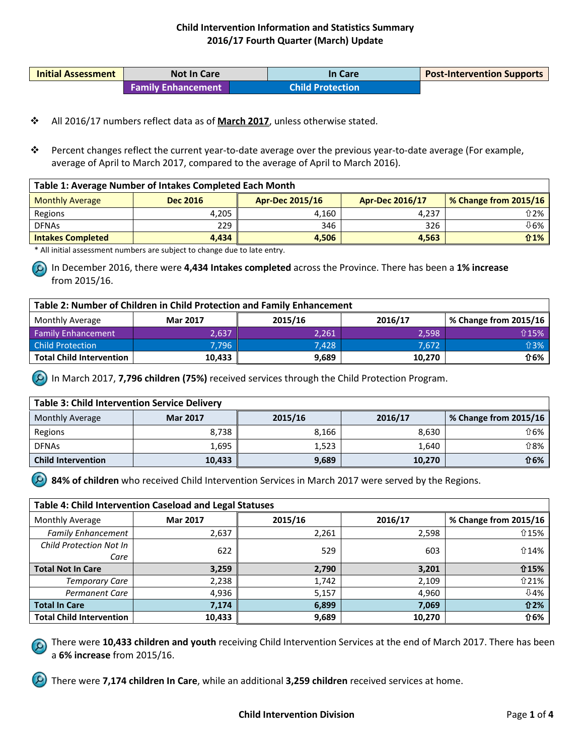| <b>Initial Assessment</b> | <b>Not In Care</b>        | In Care                 | <b>Post-Intervention Supports</b> |
|---------------------------|---------------------------|-------------------------|-----------------------------------|
|                           | <b>Family Enhancement</b> | <b>Child Protection</b> |                                   |

- All 2016/17 numbers reflect data as of **March 2017**, unless otherwise stated.
- Percent changes reflect the current year-to-date average over the previous year-to-date average (For example, average of April to March 2017, compared to the average of April to March 2016).

| Table 1: Average Number of Intakes Completed Each Month |                 |                                                                           |       |              |  |  |
|---------------------------------------------------------|-----------------|---------------------------------------------------------------------------|-------|--------------|--|--|
| <b>Monthly Average</b>                                  | <b>Dec 2016</b> | % Change from 2015/16<br><b>Apr-Dec 2015/16</b><br><b>Apr-Dec 2016/17</b> |       |              |  |  |
| Regions                                                 | 4.205           | 4.160                                                                     | 4.237 | ⇧2% │        |  |  |
| <b>DFNAs</b>                                            | 229             | 346                                                                       | 326   | ⊕6%          |  |  |
| <b>Intakes Completed</b>                                | 4.434           | 4.506                                                                     | 4,563 | $\hat{u}$ 1% |  |  |

\* All initial assessment numbers are subject to change due to late entry.

In December 2016, there were **4,434 Intakes completed** across the Province. There has been a **1% increase** from 2015/16.

| Table 2: Number of Children in Child Protection and Family Enhancement |                 |         |         |                       |  |
|------------------------------------------------------------------------|-----------------|---------|---------|-----------------------|--|
| <b>Monthly Average</b>                                                 | <b>Mar 2017</b> | 2015/16 | 2016/17 | % Change from 2015/16 |  |
| <b>Family Enhancement</b>                                              | 2.637           | 2.261   | 2.598   | ↑15%                  |  |
| <b>Child Protection</b>                                                | 7.796           | 7.428   | 7.672   | <b>介3%</b>            |  |
| <b>Total Child Intervention</b>                                        | 10,433          | 9,689   | 10,270  | ⇧6%                   |  |

In March 2017, **7,796 children (75%)** received services through the Child Protection Program.

| <b>Table 3: Child Intervention Service Delivery</b> |                 |         |         |                       |  |
|-----------------------------------------------------|-----------------|---------|---------|-----------------------|--|
| <b>Monthly Average</b>                              | <b>Mar 2017</b> | 2015/16 | 2016/17 | % Change from 2015/16 |  |
| Regions                                             | 8.738           | 8,166   | 8,630   | <b>介6%</b>            |  |
| <b>DFNAs</b>                                        | 1.695           | 1,523   | 1,640   | <b>介8%</b>            |  |
| <b>Child Intervention</b>                           | 10,433          | 9,689   | 10,270  | <b>介6%</b>            |  |

**84% of children** who received Child Intervention Services in March 2017 were served by the Regions.

| Table 4: Child Intervention Caseload and Legal Statuses |                 |         |         |                       |
|---------------------------------------------------------|-----------------|---------|---------|-----------------------|
| Monthly Average                                         | <b>Mar 2017</b> | 2015/16 | 2016/17 | % Change from 2015/16 |
| <b>Family Enhancement</b>                               | 2,637           | 2,261   | 2,598   | ↑15%                  |
| Child Protection Not In<br>Care                         | 622             | 529     | 603     | ↑14%                  |
| <b>Total Not In Care</b>                                | 3,259           | 2,790   | 3,201   | <b>介15%</b>           |
| Temporary Care                                          | 2,238           | 1,742   | 2,109   | ↑21%                  |
| <b>Permanent Care</b>                                   | 4,936           | 5,157   | 4.960   | ↓4%                   |
| <b>Total In Care</b>                                    | 7,174           | 6,899   | 7,069   | <b>介2%</b>            |
| <b>Total Child Intervention</b>                         | 10,433          | 9,689   | 10,270  | <b>介6%</b>            |

There were **10,433 children and youth** receiving Child Intervention Services at the end of March 2017. There has been a **6% increase** from 2015/16.

There were **7,174 children In Care**, while an additional **3,259 children** received services at home.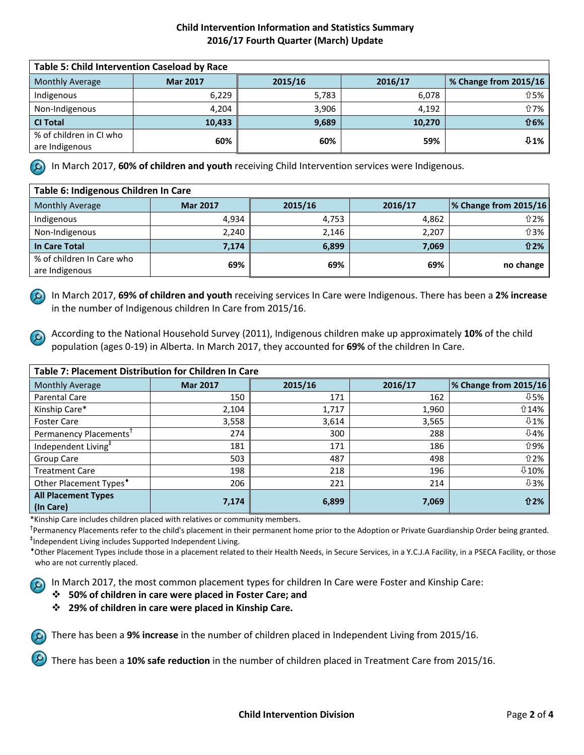| <b>Table 5: Child Intervention Caseload by Race</b> |                 |         |         |                       |
|-----------------------------------------------------|-----------------|---------|---------|-----------------------|
| <b>Monthly Average</b>                              | <b>Mar 2017</b> | 2015/16 | 2016/17 | % Change from 2015/16 |
| Indigenous                                          | 6,229           | 5,783   | 6,078   | <b>介5%</b>            |
| Non-Indigenous                                      | 4.204           | 3.906   | 4.192   | ↑7%                   |
| <b>CI Total</b>                                     | 10,433          | 9,689   | 10,270  | <b>介6%</b>            |
| % of children in CI who                             | 60%             | 60%     | 59%     | $0.1\%$               |
| are Indigenous                                      |                 |         |         |                       |

In March 2017, **60% of children and youth** receiving Child Intervention services were Indigenous.

| Table 6: Indigenous Children In Care |                 |         |         |                              |  |
|--------------------------------------|-----------------|---------|---------|------------------------------|--|
| <b>Monthly Average</b>               | <b>Mar 2017</b> | 2015/16 | 2016/17 | <b>% Change from 2015/16</b> |  |
| Indigenous                           | 4.934           | 4,753   | 4,862   | ↑2%                          |  |
| Non-Indigenous                       | 2,240           | 2,146   | 2,207   | ↑3%                          |  |
| <b>In Care Total</b>                 | 7,174           | 6,899   | 7,069   | <b>介2%</b>                   |  |
| % of children In Care who            | 69%             | 69%     | 69%     | no change                    |  |
| are Indigenous                       |                 |         |         |                              |  |

In March 2017, **69% of children and youth** receiving services In Care were Indigenous. There has been a **2% increase**  in the number of Indigenous children In Care from 2015/16.

According to the National Household Survey (2011), Indigenous children make up approximately **10%** of the child population (ages 0-19) in Alberta. In March 2017, they accounted for **69%** of the children In Care.

| <b>Table 7: Placement Distribution for Children In Care</b> |                 |         |         |                       |  |
|-------------------------------------------------------------|-----------------|---------|---------|-----------------------|--|
| <b>Monthly Average</b>                                      | <b>Mar 2017</b> | 2015/16 | 2016/17 | % Change from 2015/16 |  |
| Parental Care                                               | 150             | 171     | 162     | $0.5\%$               |  |
| Kinship Care*                                               | 2,104           | 1,717   | 1,960   | ⇧14%                  |  |
| <b>Foster Care</b>                                          | 3,558           | 3,614   | 3,565   | $0.1\%$               |  |
| Permanency Placements <sup>T</sup>                          | 274             | 300     | 288     | <b>↓4%</b>            |  |
| Independent Living <sup>†</sup>                             | 181             | 171     | 186     | <b>介9%</b>            |  |
| Group Care                                                  | 503             | 487     | 498     | <b>介2%</b>            |  |
| <b>Treatment Care</b>                                       | 198             | 218     | 196     | $0.10\%$              |  |
| Other Placement Types <sup>*</sup>                          | 206             | 221     | 214     | $0.3\%$               |  |
| <b>All Placement Types</b>                                  |                 |         |         | <b>介2%</b>            |  |
| (In Care)                                                   | 7,174           | 6,899   | 7,069   |                       |  |

\*Kinship Care includes children placed with relatives or community members.

<sup>†</sup>Permanency Placements refer to the child's placement in their permanent home prior to the Adoption or Private Guardianship Order being granted. ‡ Independent Living includes Supported Independent Living.

\*Other Placement Types include those in a placement related to their Health Needs, in Secure Services, in a Y.C.J.A Facility, in a PSECA Facility, or those who are not currently placed.

In March 2017, the most common placement types for children In Care were Foster and Kinship Care:

- **50% of children in care were placed in Foster Care; and**
- **29% of children in care were placed in Kinship Care.**

There has been a **9% increase** in the number of children placed in Independent Living from 2015/16.

There has been a **10% safe reduction** in the number of children placed in Treatment Care from 2015/16.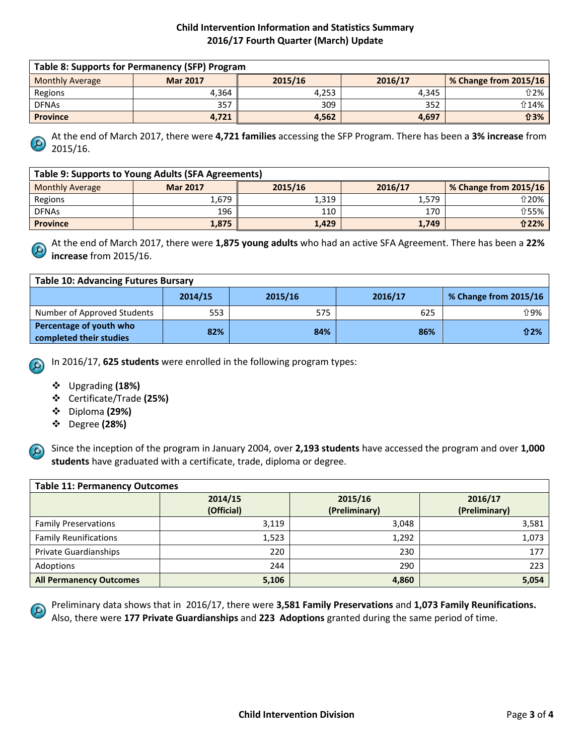| Table 8: Supports for Permanency (SFP) Program |                 |         |         |                       |
|------------------------------------------------|-----------------|---------|---------|-----------------------|
| <b>Monthly Average</b>                         | <b>Mar 2017</b> | 2015/16 | 2016/17 | % Change from 2015/16 |
| Regions                                        | 4.364           | 4.253   | 4.345   | ⇧2%                   |
| <b>DFNAs</b>                                   | 357             | 309     | 352     | ↑14%                  |
| <b>Province</b>                                | 4,721           | 4.562   | 4,697   | <b>介3%</b>            |

At the end of March 2017, there were **4,721 families** accessing the SFP Program. There has been a **3% increase** from 2015/16.

| Table 9: Supports to Young Adults (SFA Agreements) |                 |         |         |                       |
|----------------------------------------------------|-----------------|---------|---------|-----------------------|
| <b>Monthly Average</b>                             | <b>Mar 2017</b> | 2015/16 | 2016/17 | % Change from 2015/16 |
| Regions                                            | 1.679           | 1,319   | 1.579   | ↑20%                  |
| <b>DFNAs</b>                                       | 196             | 110     | 170     | <b>介55%</b>           |
| <b>Province</b>                                    | 1,875           | 1,429   | 1,749   | <b>介22%</b>           |

At the end of March 2017, there were **1,875 young adults** who had an active SFA Agreement. There has been a **22% increase** from 2015/16.

| <b>Table 10: Advancing Futures Bursary</b>         |         |         |         |                       |  |
|----------------------------------------------------|---------|---------|---------|-----------------------|--|
|                                                    | 2014/15 | 2015/16 | 2016/17 | % Change from 2015/16 |  |
| Number of Approved Students                        | 553     | 575     | 625     | <b>介9%</b>            |  |
| Percentage of youth who<br>completed their studies | 82%     | 84%     | 86%     | 介2%                   |  |

In 2016/17, **625 students** were enrolled in the following program types:

- Upgrading **(18%)**
- Certificate/Trade **(25%)**
- Diploma **(29%)**
- Degree **(28%)**



Since the inception of the program in January 2004, over **2,193 students** have accessed the program and over **1,000 students** have graduated with a certificate, trade, diploma or degree.

| <b>Table 11: Permanency Outcomes</b> |            |               |               |  |  |
|--------------------------------------|------------|---------------|---------------|--|--|
|                                      | 2014/15    | 2015/16       | 2016/17       |  |  |
|                                      | (Official) | (Preliminary) | (Preliminary) |  |  |
| <b>Family Preservations</b>          | 3,119      | 3,048         | 3,581         |  |  |
| <b>Family Reunifications</b>         | 1,523      | 1,292         | 1,073         |  |  |
| <b>Private Guardianships</b>         | 220        | 230           | 177           |  |  |
| Adoptions                            | 244        | 290           | 223           |  |  |
| <b>All Permanency Outcomes</b>       | 5,106      | 4,860         | 5,054         |  |  |

Preliminary data shows that in 2016/17, there were **3,581 Family Preservations** and **1,073 Family Reunifications.**  Also, there were **177 Private Guardianships** and **223 Adoptions** granted during the same period of time.